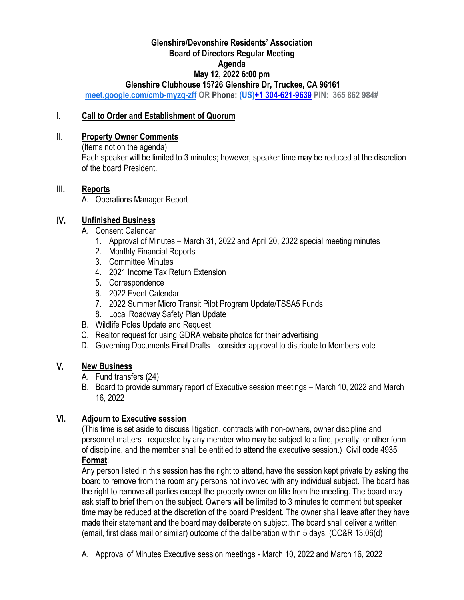## **Glenshire/Devonshire Residents' Association Board of Directors Regular Meeting Agenda May 12, 2022 6:00 pm Glenshire Clubhouse 15726 Glenshire Dr, Truckee, CA 96161**

**[meet.google.com/cmb-myzq-zff](https://meet.google.com/cmb-myzq-zff?hs=122&authuser=0) OR Phone: (US[\)+1 304-621-9639](tel:%E2%80%AA+1%20304-621-9639%E2%80%AC) PIN: 365 862 984#**

## I. **Call to Order and Establishment of Quorum**

## II. **Property Owner Comments**

(Items not on the agenda) Each speaker will be limited to 3 minutes; however, speaker time may be reduced at the discretion of the board President.

## III. **Reports**

A. Operations Manager Report

# IV. **Unfinished Business**

- A. Consent Calendar
	- 1. Approval of Minutes March 31, 2022 and April 20, 2022 special meeting minutes
	- 2. Monthly Financial Reports
	- 3. Committee Minutes
	- 4. 2021 Income Tax Return Extension
	- 5. Correspondence
	- 6. 2022 Event Calendar
	- 7. 2022 Summer Micro Transit Pilot Program Update/TSSA5 Funds
	- 8. Local Roadway Safety Plan Update
- B. Wildlife Poles Update and Request
- C. Realtor request for using GDRA website photos for their advertising
- D. Governing Documents Final Drafts consider approval to distribute to Members vote

# V. **New Business**

- A. Fund transfers (24)
- B. Board to provide summary report of Executive session meetings March 10, 2022 and March 16, 2022

# VI. **Adjourn to Executive session**

(This time is set aside to discuss litigation, contracts with non-owners, owner discipline and personnel matters requested by any member who may be subject to a fine, penalty, or other form of discipline, and the member shall be entitled to attend the executive session.) Civil code 4935 **Format**:

Any person listed in this session has the right to attend, have the session kept private by asking the board to remove from the room any persons not involved with any individual subject. The board has the right to remove all parties except the property owner on title from the meeting. The board may ask staff to brief them on the subject. Owners will be limited to 3 minutes to comment but speaker time may be reduced at the discretion of the board President. The owner shall leave after they have made their statement and the board may deliberate on subject. The board shall deliver a written (email, first class mail or similar) outcome of the deliberation within 5 days. (CC&R 13.06(d)

A. Approval of Minutes Executive session meetings - March 10, 2022 and March 16, 2022